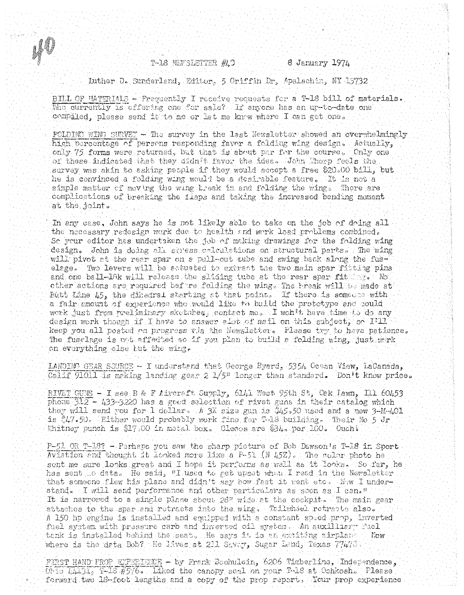T-18 NEWSLETTER #4.0

u J

8 January 1974

Juther D. Sunderland, Editor. 5 Griffin Dr. Apalachin, NY 15732 BILL OF MATERIALS - Frequently I receive requests for a T-18 bill of materials.

Who currently is offering one for sale? If anyone has an up-to-date one compiled, please send it to me or let me know where I can get one.

FOLDING WING SURVEY - The survey in the last Newsletter showed an overwhelmingly high percentage of persons responding favor a folding wing design. Actually, only 75 forms were returned, but that is about par for the course. Only one of these indicated that they didn't favor the idea. John Thorp feels the survey was akin to asking people if they would accept a free \$20.00 bill, but he is convinced a folding wing would be a desirable feature. It is not a simple matter of moving the wing break in and folding the wings There are complications of breaking the fiaps and taking the increased bending moment at the joint.

In any case, John says he is not likely able to take on the job of doing all the necessary redesign work due to health and work load problems combined. So your editor has undertaken the job of making drawings for the folding wing design. John is doing all stress calculations on structural parts. The wing will pivot at the rear spar on a pull-out tube and swing back along the fuselage. Two levers will be actuated to extract the two main spar fitting pins and one ball-lak will release the sliding tube at the rear spar fitting. Not other actions are required before folding the wing. The break will be made at Butt Line  $45$ , the dihedral starting at that point. If there is someone with a fair amount of experience who would like to build the prototype and could work just from preliminary sketches, contact me. I won't have time to do any design work though if I have to answer abot of mail on this subject, so I'll keep you all posted on progress wis the Newsletter. Please try to have patience. The fuselage is not affedted so if you plan to build a folding wing, just wirk on everything else but the wing.

LANDING GEAR SOURCE - I understand that George Byard, 5354 Ocean View, LaCanada, Calif 91011 is making landing gear 2  $1/5$ " longer than standard. Don't know price.

RIVET GUNS - I see B & F Aircraft Supply, 6141 West 95th St, Oak Jawn, Ill 60453 phone 312 - 433-3220 has a good selection of rivet guns in their catalog which they will send you for 1 dollar. A 3X size gun is \$45.50 used and a new 3-M-401 is #47.50. Either would probably work fine for T-18 building. Their No 5 Jr Whitney punch is \$17.00 in metal box. Cleass are \$34. per 100. Ouchi

P-51 OR T-18? - Perhaps you saw the sharp picture of Bob Dawson's T-18 in Sport Aviation and thought it looked more like a  $P-51$  (N 45Z). The color photo he sent me sure looks great and I hope it performs as well as it looks. So far, he has sent to data. He said, UI used to get upset when I read in the Newsletter that someone flew his plane and didn't say how fast it went etc. Wow I understand. I will send performance and other particulars as soon as I can." It is narrowed to a single place about 28" wide at the cockpit. The main gear attaches to the spar and retracts into the wing. Tailwhiel retracts also. A 150 hp engine is installed and equipped with a constant speed prop, inverted fuel system with pressure carb and inverted oil system. An auxiliary fuel tank is installed behind the seat. He says it is an exciting airplane. Now where is the deta Bob? He lives at 211 Siver, Sugar Land, Texas  $77476$ .

FIRST HAND PROP EXPERIENCE - by Frank Boehulein, 6206 Timberline, Independence,  $0.515 L443 L$ , T-18  $45$ ?6. Liked the canopy seal on your T-18 at Oshkosh. Please forward two 18-foot lengths and a copy of the prop report. Your prop experience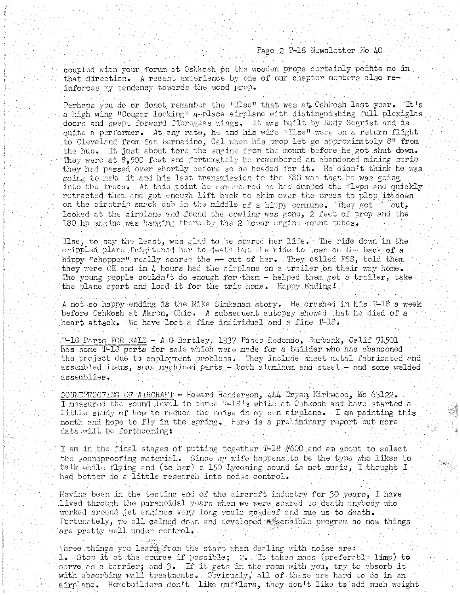## Page 2 T-18 Newsletter No 40

coupled with your forum at Oshkosh on the wooden props certainly points me in that direction. *A* recent experience by one of our chapter members also reinforces my tendency towards the wood prop.

Perhaps you do or donot remember the " $\text{IIse}$ " that wes at Oshkosh last year. It's a high wing "Cougar locking"  $4$ -place airplane with distinguishing full plexiglas doors and swept forward fibreglas wings. It was built by Rudy Segrist and is quite a performer. At any rate, he and his wife "Ilse" were on a return flight to Clevelend from San Bernadino, Cal when his prop let go approximately 8" from the hub. It just about tore the engine from the mount before he got shut down. They were at  $8,500$  feet and fortumately he remembered an abandoned mining strip they had passed over shortly before so he headed for it. He didn't think he was going to make it and his last transmission to the FSS was that he was going into the trees. At this point he remembered he had dumped the flaps and quickly retracted them and got enough lift back to skim over the trees to plop it down on the airstrip smack dab in the middle of a hippy commune. They got sout, looked at the girplane and found the cowling was gone, 2 feet of prop and the 180 hp engine was hanging there by the 2 lower engine mount tubes.

Lise, to say the least, was glad to be spared her life. The ride down in the crippled plane frightened her to death but the ride to town on the back of a hippy "chopper" really scared the  $\leftrightarrow$  out of her. They celled FSS, told them they were  $OK$  and in  $4$  hours had the airplane on a trailer on their way home. The young people couldn't do enough for them - helped them get a trailer, take the plane apart and load it for the trip home. Happy Ending I

A not so happy ending is the Mike Simkanan story. He crashed in his T-18 a week before Oshkosh at Akron, Ohio. A subsequent autopsy showed that he died of a heart attack. We have lost a fine individual and a fine  $T-\frac{18}{5}$ .

T-18 Parts FOR SALE - A G Bartley, 1337 Paseo Redondo, Burbank, Calif 91501 has some T-18 parts for sale which were made for a builder who has abandoned the project due to employment problems. They include sheet metal fabricated and assembled items, some machined parts - both aluminum and steel - and some welded assemblies.

SOUNDPROOFING OF AIRCRAFT - Howard Henderson, 444 Bryan Kirkwood, Mo 63122. I measured the sound level in three T-18's while at Oshkosh and have started a little study of how to reduce the noise in my own airplane. I am painting this month and hope to fly in the spring. Here is a preliminary report but more data will be forthcoming:

I am in the final stages of putting together T-18 #600 and am about to select the soundproofing material. Since  $m$  wife happens to be the type who likes to talk while flying and (to her) a 150 Iycoming sound is not music, I thought I had better do a little research into noise control.

Having been in the testing end of the aircraft industry for  $30$  years, I have lived through the paranoidal years when we were scared to death anybody who worked around jet engines very long would go deaf and sue us to death. Fortunately, we all calmed down and developed sensible program so now things are pretty well under control.

Three things you learn from the start when dealing with noise are: 1. Stop it at the source if possible;  $2.$  It takes mass (preferably limp) to serve as a barrier; and 3. If it gets in the room with you, try to absorb it with absorbing wall treatments. Obviously, all of these are hard to do in an airplane. Homebuilders don't like mufflers, they don't like to add much weight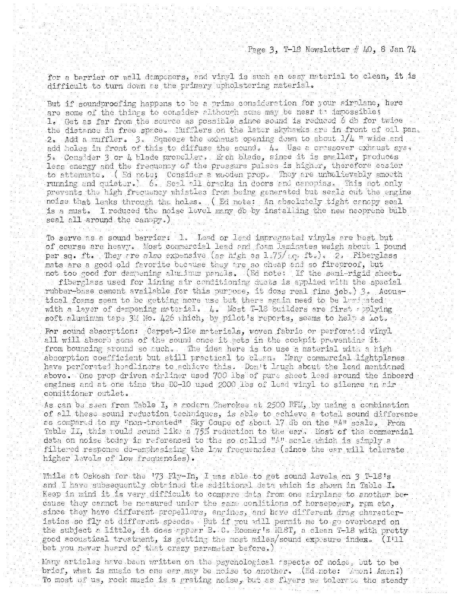for a barrier or wall dampeners, and vinyl is such an easy material to clean, it is difficult to turn down as the primary upholstering material.

But if soundproofing happens to be a prime consideration for your airplane, here are some of the things to consider although some may be near to impossible; 1. Get as far from the source as possible since sound is reduced 6 db for twice the distance in free space. Mufflers on the later skyhawks are in front of oil pan. 2. Add a muffler.  $3.$  Squeege the exhaust opening down to about  $1/4$  " wide and add holes in front of this to diffuse the sound.  $4.$  Use a crossover exhaust sys. 5. Consider 3 or 4 blade propeller. Each blade, since it is smaller, produces less energy and the frequency of the pressure pulses is higher, therefore easier to attenuate. (Ed note; Consider a wooden prop. They are unbelievably smoeth running and quieter.) 6. Seal all cracks in doors and canopies. This not only prevents the high frequency whistles from being generated but seals out the engine noise that leaks through the holes. (Ed note: An absolutely tight canopy seal is a must. I reduced the noise level many db by installing the new neoprene bulb seal all around the canopy.)

To serve as a sound barriers i.l. Lead or lead impregnated vinyls are best but of course are heavy. Most commercial lead and foam laminates weigh about 1 pound per sq. ft. They are also expensive (as high as  $1.75/$   $(c_0$  ft.). 2. Fiberglass mats are a good old favorite because they are so cheap and so fireproof, but not too good for dampening aluminum pancls. (Ed note: If the semi-rigid sheet.

fiberglass used for lining air conditioning ducts is applied with the special rubber-base cement available for this purpose, it doss real fine job. 3. Acoustical foams seem to be getting more use but there again need to be laminated with a layer of dempening meterial. 4. Most T-18 builders are first applying soft aluminum tape 3M No. 426 which, by pilot's reports, seems to help a Lot.

For sound absorption: Carpet-like materials, woven fabric or perforated vinyl all will absorb some of the sound once it sets in the cockpit preventing it. from bouncing around so nuch. The idea here is to use a material with a high absorption coefficient but still practical to clean. Many commercial lightplanes have perforated handlinars to achieve this. Don't laugh about the lead mentioned above. One prop driven airliner used 700 Ibs of pure sheet lead around the inboard engines and at one time the DC-10 used 2000 lbs of lead vinyl to silence an air conditioner outlet.

As can be seen from Table I, a modern Cherokee at 2500 RFM, by using a combination of all these sound reduction techniques, is able to achieve a total sound difference as compared to my Fnon-treated" Sky Coupe of about 17 db on the "A" scale. From Table II, this rould sound like a 75% reduction to the ear's Most of the commercial deta on noise today is referenced to the so called "A" scale which is simply a filtered response do-emphasizing the low frequencies (since the ear will tolerate higher levels of low frequencies).

While at Oskosh for the '73 Fly-In, I was able to get sound levels on 3 T-18's and I have subsequently obtained the additional data which is shown in Table I. Reep in mind it is very difficult to compare data from one airplane to another because they cannot be measured under the same conditions of horsepower, rpm etc. since they have different propellers, engines, and have different drag characteristics so fly at different speeds. But if you will permit me to go overboard on the subject a little, it does appear B. C. Roemer's NL8T, a clean T-18 with pretty good acoustical treatment, is getting the most miles/sound expesure index. (I'll bet you never heard of that crazy parameter before.)

Many articles have been written on the psychological repects of noise, but to be brief, what is music to one car may be noise to another. (Ed note:  $L_{\text{MOM}}$  Amen!) To most of us, rock music is a grating noise, but as flyers we tolerate the steady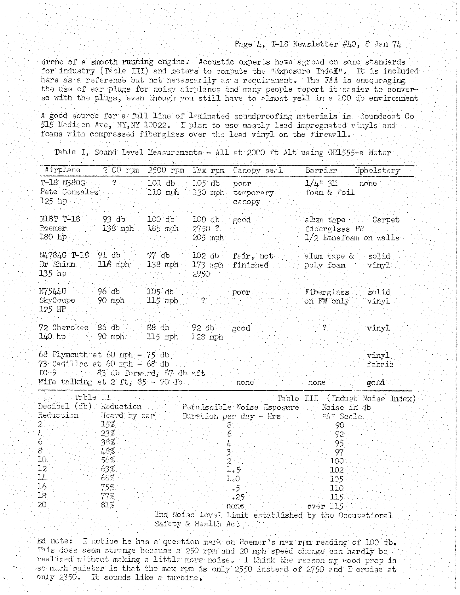## Page  $4$ , T-18 Newsletter  $\#40$ , 8 Jan  $74$

drone of a smooth running engine. Acoustic experts have agreed on some standards for industry (Table III) and meters to compute the "Exposure Index". It is included here as a reference but not necessarily as a requirement. The FAA is encouraging the use of ear plugs for noisy airplanes and many people report it easier to converse with the plugs, even though you still have to almost yell in a 100 db environment

A good source for a full line of laminated soundproofing materials is Soundcoat Co 515 Madison Ave, NY, NY 10022. I plan to use mostly lead impregnated vinyls and foams with compressed fiberglass over the lead vinyl on the firewall.

| Airplane                                                                                                   | 2100 rpm                                  |                                     |                      | 2500 rpm Nax rpm Canopy secl.        | Barrier Upholstery                                           |                                |
|------------------------------------------------------------------------------------------------------------|-------------------------------------------|-------------------------------------|----------------------|--------------------------------------|--------------------------------------------------------------|--------------------------------|
| $T-18$ $N380G$ $2$<br>Pete Gonzalez<br>$125$ hp                                                            |                                           | $101$ db $105$ db poor<br>$110$ mph |                      | 130 mph temporary<br>canopy          | $1/4$ <sup>n</sup> 3 <sup>H</sup> none<br>foam & foil:       |                                |
| <b>N18T T-18</b><br>Roemer<br>$180$ hp                                                                     | $-93^\circ$ db $-$<br>$138$ mph $185$ mph | 100 db 100 db                       | $-2750$ ?<br>205 mph | good                                 | alum tape Carpet<br>fiberglass FW<br>$1/2$ Ethafoam on walls |                                |
| N4784G T-18 91 db<br>Dr Shinn<br>V.<br>135 hp.                                                             | 116 mph 138 mph                           | $\frac{1}{2}$ 97 db                 | 2950                 | 102 db fair, not<br>173 mph finished | alum tape & solid<br>poly foam vinyl                         |                                |
| N7544U<br>SkyCoupe<br>$125$ HP                                                                             | - 96 db<br>90 mph 115 mph                 | $105$ db                            |                      | poor                                 | Fiberglass<br>on FW only.                                    | solid<br>vinyl                 |
| 72 Cherokee 86 db 38 db 39 92 db 3<br>$140$ hp $-90$ mph $115$ mph                                         |                                           |                                     | $123$ mph            | i good                               | $\overline{2}$                                               | vinyl                          |
| 68 Plymouth at 60 mph $-75$ db<br>73 Cadillac at 60 mph - 68 db<br>DC-9 Formation 83 db forward, 87 db aft |                                           |                                     |                      |                                      |                                                              | vinyl<br>fabric                |
| Wife talking at $2$ ft, $85 - 90$ db.                                                                      |                                           |                                     |                      | none                                 | none -                                                       | gord                           |
|                                                                                                            | Table II                                  |                                     |                      |                                      |                                                              | Table III (Indust Noise Index) |

Safety & Health Act

Ed note: I notice he has a question mark on Roemer's max rpm reading of 100 db. This does seem strange because a 250 rpm and 20 mph speed change can hardly be realized without making a little more noise. I think the reason my wood prop is so much quieter is that the max rpm is only 2550 instead of 2750 and I cruise at only 2350. It sounds like a turbine.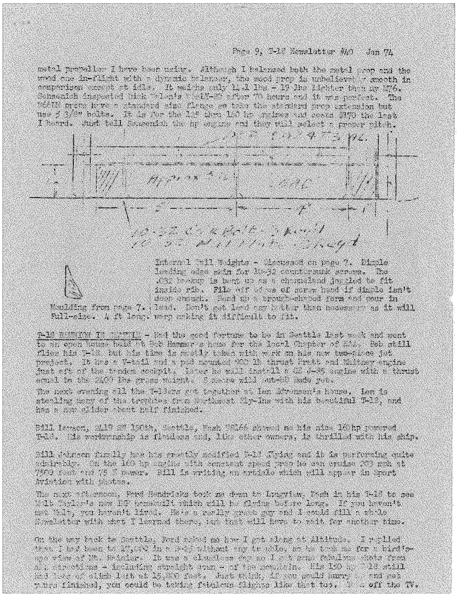## Pace 9. T-10 Nemelatter #40  $d$ an  $7L$

metal propeller I have been using. Although I balanced hoth the metal wap and the wood one in-flight with a dypemic belonger, the wood prop is unbelieved a smooth in comporison except at idle. It weishs anly 12.1 lbs - 19 lbs lighter then my 276. Sonsenich inspected bick "olan's Welfest often 70 hours and it was nerrect. The While many have a standard sine flower on toke the standard prop axtension but use 5 3/8" bolts. It is for the 125 thru 160 hp reines and costs \$170 the 12st I heard. Just tell Samemiah the up engine and they will select a proper pitch.





a kacamatan Ing

Intera 1 (211 Wights - Ciedussei on page 7. Dimble lending edge skin for 18-32 countersurk screws. The 1032 braking is beat up as a chrimidend jageled to fit inside rib, File off adves of corps head if dimple isn't deep enough. Hend up a trough-chaped form and pour in

Mailding from page 7. Pead. Don't get lead any hater than mosses as it will Full-size. 4 ft long, werp making it difficult to fit.

T-18 BEINION IN CANTIES - Had the cood fortune to be in Seattle last week and went to an enen house held to Bob Haumer's home for the local Chapter of EAA. Bob still flies his 7-16, tut his time is mutly taken with w rk on his n.w two-pics jet project. It has a V-tail and a pul noughn who li thrust Prath and Whiney engine just oft of the tradem cockpit. Tater he will install a GE J-35 engine with a thrust equal to the 2400 lbs grass weight. S makes will ut-all 38de yet,

The next creating all the T-12ers and together at Len Mysnen's house. Ien is stealing many of the trophies from Writmest Wr-Ins with his beautiful T-13, and has a new clider phont half finished.

Bill Iswaen, 2119 37 150th, Seattle, Wash 98166 showed as his nice 16thp powered T-18. Wis workernamip is flowless and, like other own ra, is thrilled with his ship.

3111 Jahnson funclly has his graatly modified 1-12 Jying and it is performing quite admirthly. On the 100 hp wasine with construt speed prop he can cruise 203 meh at 7500 feet and 75 % pewer. Bill is writing an article which will apper in Sport Avistica with bastes.

The next afternoon, Ford Hendricks took ne down to Lingview, Tash in his T-18 to see Mult Taylor's new ET homebuilt which will be flying before long. If you haven't<br>mat Malt, you haven't lived. He's a really great guy and I could fill a whole Nowsletter with what I learned there, this that will have to wait for another time.

On the way back to feattle, Ford adked me how I gat along at Altitude. I replied that I had been to 17,000 in a 3-25 without any transle, so he table me for a birdigete view of lit. Rainler. It was a cloudless day so I a t actue fabulous shate from all directions - including straight down - of the nounleln. His 150 hp = 18 still<br>hod lute of climb left at 15,800 fact. Just think, if you would hurry - and get yancs finished, you could be taking fabulous flights like that too. Thu off tha TV.